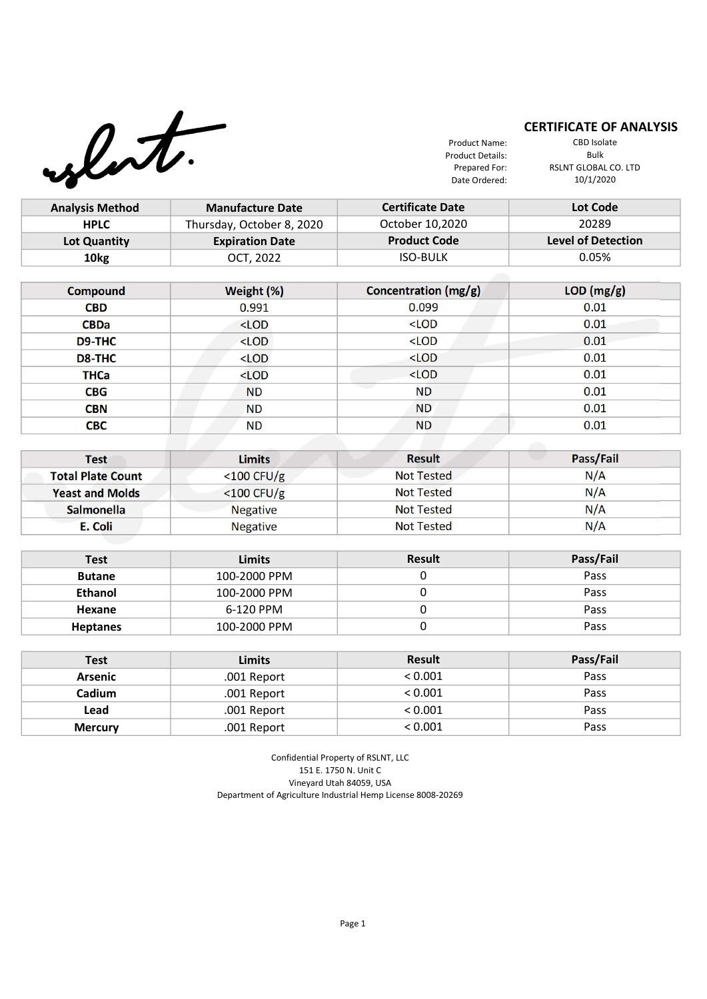

**THCa** <LOD **CBG** ND **CBN** ND **CBC** ND

## **CERTIFICATE OF ANALYSIS**

Product Name: Product Details: Prepared For: Date Ordered:

 $\lt$ LOD 0.01 ND 0.01 ND 0.01

CBD Isolate Bulk RSLNT GLOBAL CO. LTD 10/1/2020

0.01

| <b>Analysis Method</b> | <b>Manufacture Date</b>   | <b>Certificate Date</b> | Lot Code                  |  |
|------------------------|---------------------------|-------------------------|---------------------------|--|
| <b>HPLC</b>            | Thursday, October 8, 2020 | October 10,2020         | 20289                     |  |
| Lot Quantity           | <b>Expiration Date</b>    | <b>Product Code</b>     | <b>Level of Detection</b> |  |
| 10 <sub>kg</sub>       | OCT, 2022                 | <b>ISO-BULK</b>         | 0.05%                     |  |
|                        |                           |                         |                           |  |
|                        |                           |                         |                           |  |
| <b>Compound</b>        | Weight (%)                | Concentration (mg/g)    | LOD (mg/g)                |  |
| <b>CBD</b>             | 0.991                     | 0.099                   | 0.01                      |  |
| <b>CBDa</b>            | $<$ LOD                   | $<$ LOD                 | 0.01                      |  |
| D9-THC                 | $<$ LOD                   | $<$ LOD                 | 0.01                      |  |

| <b>Test</b>              | <b>Limits</b>   | <b>Result</b>     | Pass/Fail |
|--------------------------|-----------------|-------------------|-----------|
| <b>Total Plate Count</b> | $<$ 100 CFU/g   | <b>Not Tested</b> | N/A       |
| <b>Yeast and Molds</b>   | $<$ 100 CFU/g   | <b>Not Tested</b> | N/A       |
| <b>Salmonella</b>        | <b>Negative</b> | <b>Not Tested</b> | N/A       |
| E. Coli                  | <b>Negative</b> | <b>Not Tested</b> | N/A       |

ND

| <b>Test</b>     | <b>Limits</b> | <b>Result</b> | Pass/Fail |
|-----------------|---------------|---------------|-----------|
| <b>Butane</b>   | 100-2000 PPM  |               | Pass      |
| <b>Ethanol</b>  | 100-2000 PPM  |               | Pass      |
| Hexane          | 6-120 PPM     |               | Pass      |
| <b>Heptanes</b> | 100-2000 PPM  |               | Pass      |

| <b>Test</b>    | <b>Limits</b> | <b>Result</b> | Pass/Fail |
|----------------|---------------|---------------|-----------|
| <b>Arsenic</b> | .001 Report   | < 0.001       | Pass      |
| Cadium         | .001 Report   | < 0.001       | Pass      |
| Lead           | .001 Report   | < 0.001       | Pass      |
| <b>Mercury</b> | .001 Report   | < 0.001       | Pass      |

Confidential Property of RSLNT, LLC 151 E. 1750 N. Unit C Vineyard Utah 84059, USA Department of Agriculture Industrial Hemp License 8008-20269